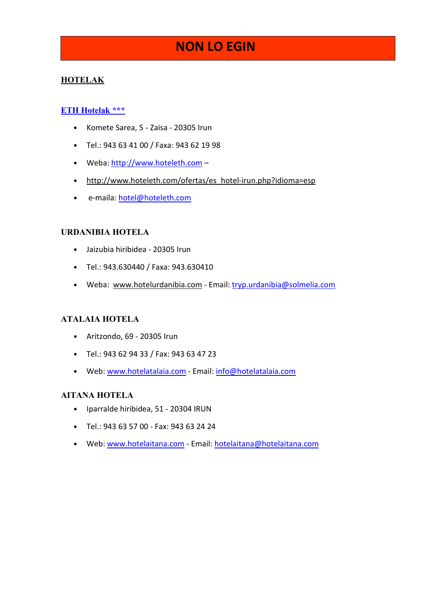# NON LO EGIN

## **HOTELAK**

#### **ETH Hotelak \*\*\***

- Komete Sarea, 5 Zaisa 20305 Irun
- Tel.: 943 63 41 00 / Faxa: 943 62 19 98
- Weba: http://www.hoteleth.com -
- http://www.hoteleth.com/ofertas/es\_hotel-irun.php?idioma=esp
- e-maila: hotel@hoteleth.com

#### URDANIBIA HOTELA

- Jaizubia hiribidea 20305 Irun
- Tel.: 943.630440 / Faxa: 943.630410
- Weba: www.hotelurdanibia.com Email: tryp.urdanibia@solmelia.com

#### ATALAIA HOTELA

- Aritzondo, 69 20305 Irun
- Tel.: 943 62 94 33 / Fax: 943 63 47 23
- Web: www.hotelatalaia.com Email: info@hotelatalaia.com

#### **AITANA HOTELA**

- Iparralde hiribidea, 51 20304 IRUN
- Tel.: 943 63 57 00 Fax: 943 63 24 24
- Web: www.hotelaitana.com Email: hotelaitana@hotelaitana.com